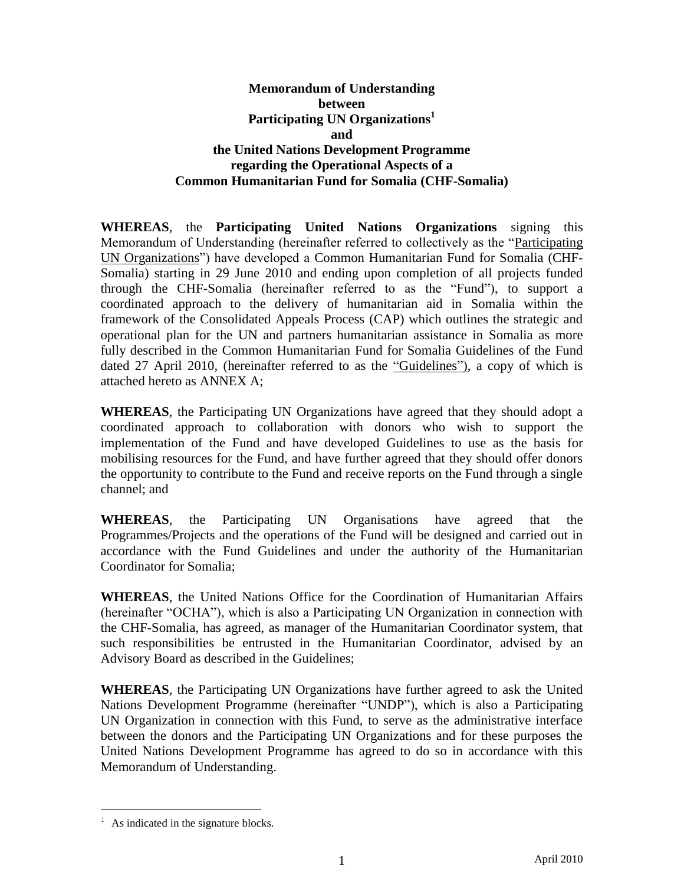#### **Memorandum of Understanding between Participating UN Organizations 1 and the United Nations Development Programme regarding the Operational Aspects of a Common Humanitarian Fund for Somalia (CHF-Somalia)**

**WHEREAS**, the **Participating United Nations Organizations** signing this Memorandum of Understanding (hereinafter referred to collectively as the "Participating UN Organizations") have developed a Common Humanitarian Fund for Somalia (CHF-Somalia) starting in 29 June 2010 and ending upon completion of all projects funded through the CHF-Somalia (hereinafter referred to as the "Fund"), to support a coordinated approach to the delivery of humanitarian aid in Somalia within the framework of the Consolidated Appeals Process (CAP) which outlines the strategic and operational plan for the UN and partners humanitarian assistance in Somalia as more fully described in the Common Humanitarian Fund for Somalia Guidelines of the Fund dated 27 April 2010, (hereinafter referred to as the "Guidelines"), a copy of which is attached hereto as ANNEX A;

**WHEREAS**, the Participating UN Organizations have agreed that they should adopt a coordinated approach to collaboration with donors who wish to support the implementation of the Fund and have developed Guidelines to use as the basis for mobilising resources for the Fund, and have further agreed that they should offer donors the opportunity to contribute to the Fund and receive reports on the Fund through a single channel; and

**WHEREAS**, the Participating UN Organisations have agreed that the Programmes/Projects and the operations of the Fund will be designed and carried out in accordance with the Fund Guidelines and under the authority of the Humanitarian Coordinator for Somalia;

**WHEREAS**, the United Nations Office for the Coordination of Humanitarian Affairs (hereinafter "OCHA"), which is also a Participating UN Organization in connection with the CHF-Somalia, has agreed, as manager of the Humanitarian Coordinator system, that such responsibilities be entrusted in the Humanitarian Coordinator, advised by an Advisory Board as described in the Guidelines;

**WHEREAS**, the Participating UN Organizations have further agreed to ask the United Nations Development Programme (hereinafter "UNDP"), which is also a Participating UN Organization in connection with this Fund, to serve as the administrative interface between the donors and the Participating UN Organizations and for these purposes the United Nations Development Programme has agreed to do so in accordance with this Memorandum of Understanding.

 $\overline{a}$ 

 $<sup>1</sup>$  As indicated in the signature blocks.</sup>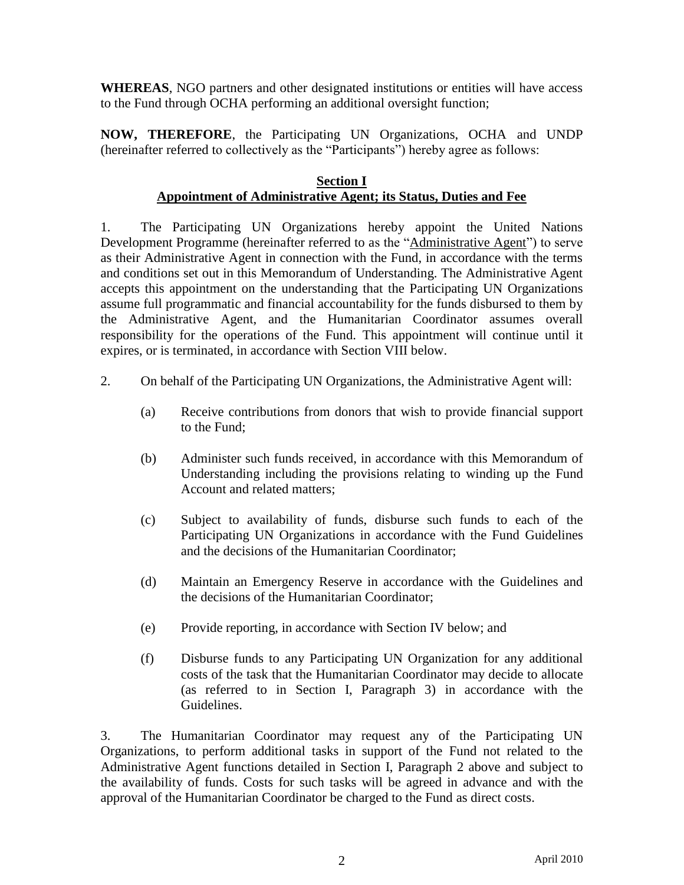**WHEREAS**, NGO partners and other designated institutions or entities will have access to the Fund through OCHA performing an additional oversight function;

**NOW, THEREFORE**, the Participating UN Organizations, OCHA and UNDP (hereinafter referred to collectively as the "Participants") hereby agree as follows:

#### **Section I Appointment of Administrative Agent; its Status, Duties and Fee**

1. The Participating UN Organizations hereby appoint the United Nations Development Programme (hereinafter referred to as the "Administrative Agent") to serve as their Administrative Agent in connection with the Fund, in accordance with the terms and conditions set out in this Memorandum of Understanding. The Administrative Agent accepts this appointment on the understanding that the Participating UN Organizations assume full programmatic and financial accountability for the funds disbursed to them by the Administrative Agent, and the Humanitarian Coordinator assumes overall responsibility for the operations of the Fund. This appointment will continue until it expires, or is terminated, in accordance with Section VIII below.

- 2. On behalf of the Participating UN Organizations, the Administrative Agent will:
	- (a) Receive contributions from donors that wish to provide financial support to the Fund;
	- (b) Administer such funds received, in accordance with this Memorandum of Understanding including the provisions relating to winding up the Fund Account and related matters;
	- (c) Subject to availability of funds, disburse such funds to each of the Participating UN Organizations in accordance with the Fund Guidelines and the decisions of the Humanitarian Coordinator;
	- (d) Maintain an Emergency Reserve in accordance with the Guidelines and the decisions of the Humanitarian Coordinator;
	- (e) Provide reporting, in accordance with Section IV below; and
	- (f) Disburse funds to any Participating UN Organization for any additional costs of the task that the Humanitarian Coordinator may decide to allocate (as referred to in Section I, Paragraph 3) in accordance with the Guidelines.

3. The Humanitarian Coordinator may request any of the Participating UN Organizations, to perform additional tasks in support of the Fund not related to the Administrative Agent functions detailed in Section I, Paragraph 2 above and subject to the availability of funds. Costs for such tasks will be agreed in advance and with the approval of the Humanitarian Coordinator be charged to the Fund as direct costs.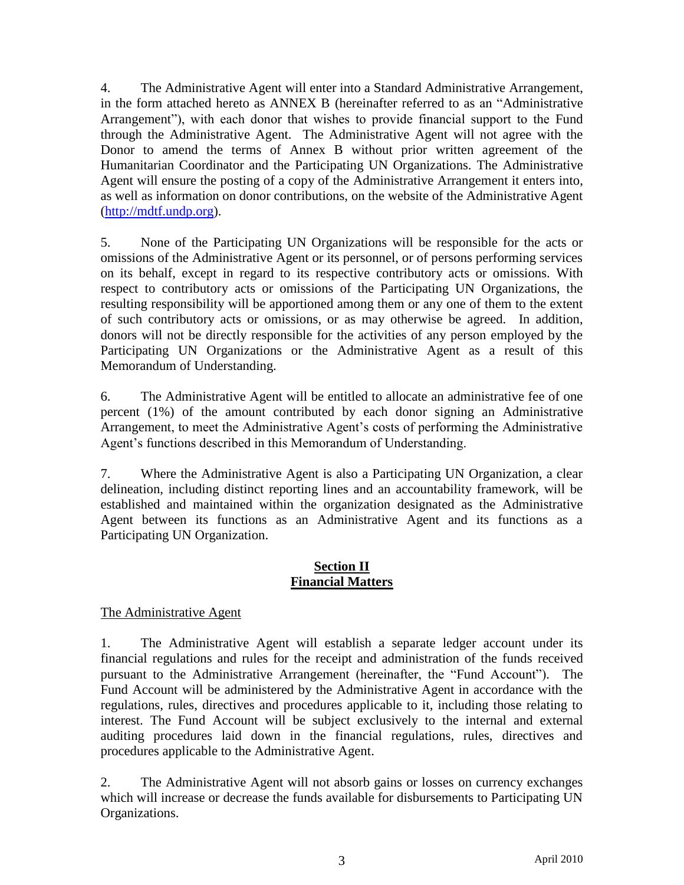4. The Administrative Agent will enter into a Standard Administrative Arrangement, in the form attached hereto as ANNEX B (hereinafter referred to as an "Administrative Arrangement"), with each donor that wishes to provide financial support to the Fund through the Administrative Agent. The Administrative Agent will not agree with the Donor to amend the terms of Annex B without prior written agreement of the Humanitarian Coordinator and the Participating UN Organizations. The Administrative Agent will ensure the posting of a copy of the Administrative Arrangement it enters into, as well as information on donor contributions, on the website of the Administrative Agent [\(http://mdtf.undp.org\)](http://mdtf.undp.org/).

5. None of the Participating UN Organizations will be responsible for the acts or omissions of the Administrative Agent or its personnel, or of persons performing services on its behalf, except in regard to its respective contributory acts or omissions. With respect to contributory acts or omissions of the Participating UN Organizations, the resulting responsibility will be apportioned among them or any one of them to the extent of such contributory acts or omissions, or as may otherwise be agreed. In addition, donors will not be directly responsible for the activities of any person employed by the Participating UN Organizations or the Administrative Agent as a result of this Memorandum of Understanding.

6. The Administrative Agent will be entitled to allocate an administrative fee of one percent (1%) of the amount contributed by each donor signing an Administrative Arrangement, to meet the Administrative Agent's costs of performing the Administrative Agent's functions described in this Memorandum of Understanding.

7. Where the Administrative Agent is also a Participating UN Organization, a clear delineation, including distinct reporting lines and an accountability framework, will be established and maintained within the organization designated as the Administrative Agent between its functions as an Administrative Agent and its functions as a Participating UN Organization.

## **Section II Financial Matters**

# The Administrative Agent

1. The Administrative Agent will establish a separate ledger account under its financial regulations and rules for the receipt and administration of the funds received pursuant to the Administrative Arrangement (hereinafter, the "Fund Account"). The Fund Account will be administered by the Administrative Agent in accordance with the regulations, rules, directives and procedures applicable to it, including those relating to interest. The Fund Account will be subject exclusively to the internal and external auditing procedures laid down in the financial regulations, rules, directives and procedures applicable to the Administrative Agent.

2. The Administrative Agent will not absorb gains or losses on currency exchanges which will increase or decrease the funds available for disbursements to Participating UN Organizations.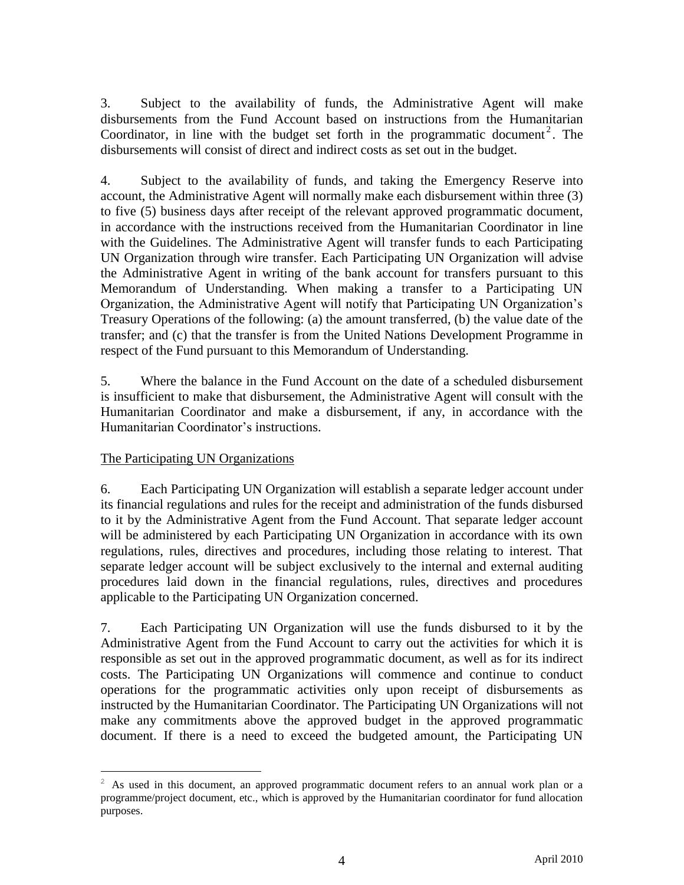3. Subject to the availability of funds, the Administrative Agent will make disbursements from the Fund Account based on instructions from the Humanitarian Coordinator, in line with the budget set forth in the programmatic document<sup>2</sup>. The disbursements will consist of direct and indirect costs as set out in the budget.

4. Subject to the availability of funds, and taking the Emergency Reserve into account, the Administrative Agent will normally make each disbursement within three (3) to five (5) business days after receipt of the relevant approved programmatic document, in accordance with the instructions received from the Humanitarian Coordinator in line with the Guidelines. The Administrative Agent will transfer funds to each Participating UN Organization through wire transfer. Each Participating UN Organization will advise the Administrative Agent in writing of the bank account for transfers pursuant to this Memorandum of Understanding. When making a transfer to a Participating UN Organization, the Administrative Agent will notify that Participating UN Organization's Treasury Operations of the following: (a) the amount transferred, (b) the value date of the transfer; and (c) that the transfer is from the United Nations Development Programme in respect of the Fund pursuant to this Memorandum of Understanding.

5. Where the balance in the Fund Account on the date of a scheduled disbursement is insufficient to make that disbursement, the Administrative Agent will consult with the Humanitarian Coordinator and make a disbursement, if any, in accordance with the Humanitarian Coordinator's instructions.

## The Participating UN Organizations

 $\overline{a}$ 

6. Each Participating UN Organization will establish a separate ledger account under its financial regulations and rules for the receipt and administration of the funds disbursed to it by the Administrative Agent from the Fund Account. That separate ledger account will be administered by each Participating UN Organization in accordance with its own regulations, rules, directives and procedures, including those relating to interest. That separate ledger account will be subject exclusively to the internal and external auditing procedures laid down in the financial regulations, rules, directives and procedures applicable to the Participating UN Organization concerned.

7. Each Participating UN Organization will use the funds disbursed to it by the Administrative Agent from the Fund Account to carry out the activities for which it is responsible as set out in the approved programmatic document, as well as for its indirect costs. The Participating UN Organizations will commence and continue to conduct operations for the programmatic activities only upon receipt of disbursements as instructed by the Humanitarian Coordinator. The Participating UN Organizations will not make any commitments above the approved budget in the approved programmatic document. If there is a need to exceed the budgeted amount, the Participating UN

 $2\,$  As used in this document, an approved programmatic document refers to an annual work plan or a programme/project document, etc., which is approved by the Humanitarian coordinator for fund allocation purposes.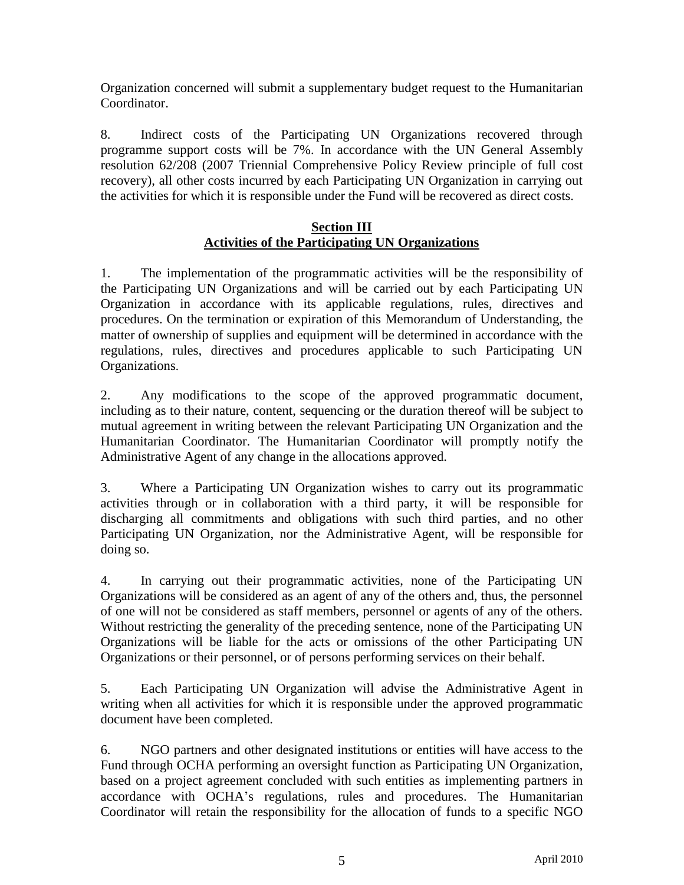Organization concerned will submit a supplementary budget request to the Humanitarian Coordinator.

8. Indirect costs of the Participating UN Organizations recovered through programme support costs will be 7%. In accordance with the UN General Assembly resolution 62/208 (2007 Triennial Comprehensive Policy Review principle of full cost recovery), all other costs incurred by each Participating UN Organization in carrying out the activities for which it is responsible under the Fund will be recovered as direct costs.

#### **Section III Activities of the Participating UN Organizations**

1. The implementation of the programmatic activities will be the responsibility of the Participating UN Organizations and will be carried out by each Participating UN Organization in accordance with its applicable regulations, rules, directives and procedures. On the termination or expiration of this Memorandum of Understanding, the matter of ownership of supplies and equipment will be determined in accordance with the regulations, rules, directives and procedures applicable to such Participating UN Organizations.

2. Any modifications to the scope of the approved programmatic document, including as to their nature, content, sequencing or the duration thereof will be subject to mutual agreement in writing between the relevant Participating UN Organization and the Humanitarian Coordinator. The Humanitarian Coordinator will promptly notify the Administrative Agent of any change in the allocations approved.

3. Where a Participating UN Organization wishes to carry out its programmatic activities through or in collaboration with a third party, it will be responsible for discharging all commitments and obligations with such third parties, and no other Participating UN Organization, nor the Administrative Agent, will be responsible for doing so.

4. In carrying out their programmatic activities, none of the Participating UN Organizations will be considered as an agent of any of the others and, thus, the personnel of one will not be considered as staff members, personnel or agents of any of the others. Without restricting the generality of the preceding sentence, none of the Participating UN Organizations will be liable for the acts or omissions of the other Participating UN Organizations or their personnel, or of persons performing services on their behalf.

5. Each Participating UN Organization will advise the Administrative Agent in writing when all activities for which it is responsible under the approved programmatic document have been completed.

6. NGO partners and other designated institutions or entities will have access to the Fund through OCHA performing an oversight function as Participating UN Organization, based on a project agreement concluded with such entities as implementing partners in accordance with OCHA's regulations, rules and procedures. The Humanitarian Coordinator will retain the responsibility for the allocation of funds to a specific NGO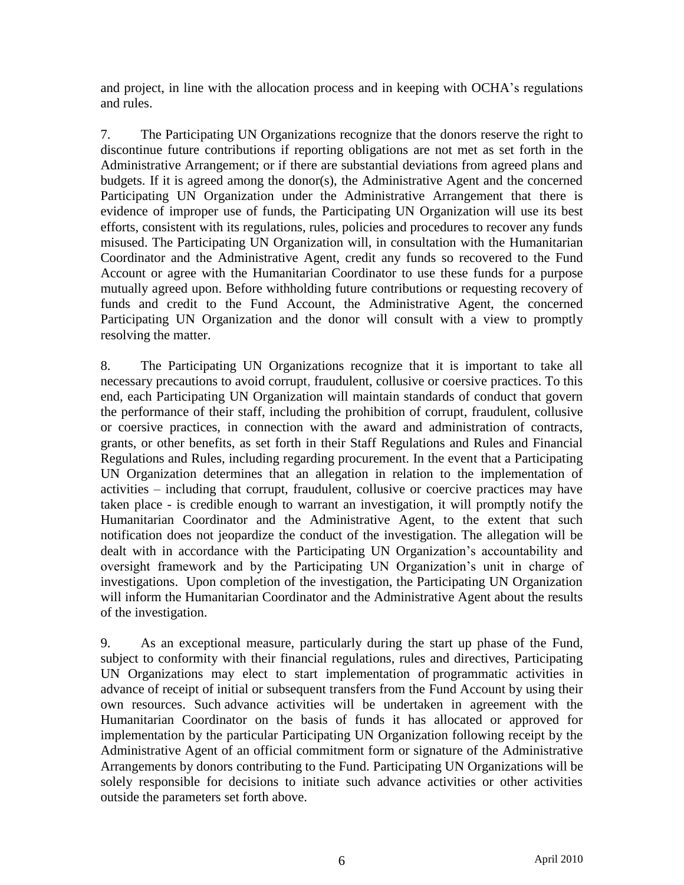and project, in line with the allocation process and in keeping with OCHA's regulations and rules.

7. The Participating UN Organizations recognize that the donors reserve the right to discontinue future contributions if reporting obligations are not met as set forth in the Administrative Arrangement; or if there are substantial deviations from agreed plans and budgets. If it is agreed among the donor(s), the Administrative Agent and the concerned Participating UN Organization under the Administrative Arrangement that there is evidence of improper use of funds, the Participating UN Organization will use its best efforts, consistent with its regulations, rules, policies and procedures to recover any funds misused. The Participating UN Organization will, in consultation with the Humanitarian Coordinator and the Administrative Agent, credit any funds so recovered to the Fund Account or agree with the Humanitarian Coordinator to use these funds for a purpose mutually agreed upon. Before withholding future contributions or requesting recovery of funds and credit to the Fund Account, the Administrative Agent, the concerned Participating UN Organization and the donor will consult with a view to promptly resolving the matter.

8. The Participating UN Organizations recognize that it is important to take all necessary precautions to avoid corrupt, fraudulent, collusive or coersive practices. To this end, each Participating UN Organization will maintain standards of conduct that govern the performance of their staff, including the prohibition of corrupt, fraudulent, collusive or coersive practices, in connection with the award and administration of contracts, grants, or other benefits, as set forth in their Staff Regulations and Rules and Financial Regulations and Rules, including regarding procurement. In the event that a Participating UN Organization determines that an allegation in relation to the implementation of activities – including that corrupt, fraudulent, collusive or coercive practices may have taken place - is credible enough to warrant an investigation, it will promptly notify the Humanitarian Coordinator and the Administrative Agent, to the extent that such notification does not jeopardize the conduct of the investigation. The allegation will be dealt with in accordance with the Participating UN Organization's accountability and oversight framework and by the Participating UN Organization's unit in charge of investigations. Upon completion of the investigation, the Participating UN Organization will inform the Humanitarian Coordinator and the Administrative Agent about the results of the investigation.

9. As an exceptional measure, particularly during the start up phase of the Fund, subject to conformity with their financial regulations, rules and directives, Participating UN Organizations may elect to start implementation of programmatic activities in advance of receipt of initial or subsequent transfers from the Fund Account by using their own resources. Such advance activities will be undertaken in agreement with the Humanitarian Coordinator on the basis of funds it has allocated or approved for implementation by the particular Participating UN Organization following receipt by the Administrative Agent of an official commitment form or signature of the Administrative Arrangements by donors contributing to the Fund. Participating UN Organizations will be solely responsible for decisions to initiate such advance activities or other activities outside the parameters set forth above.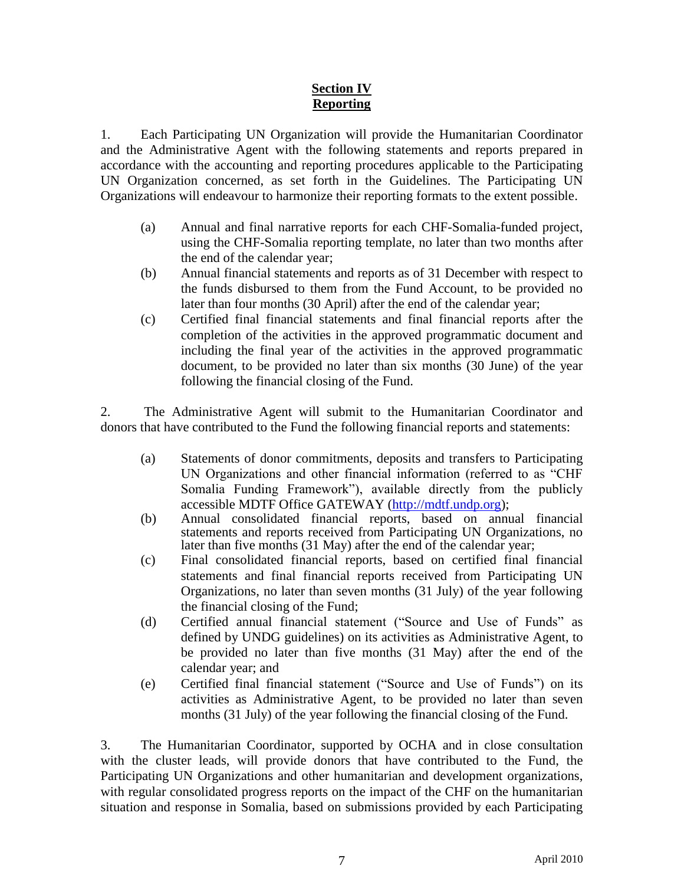# **Section IV Reporting**

1. Each Participating UN Organization will provide the Humanitarian Coordinator and the Administrative Agent with the following statements and reports prepared in accordance with the accounting and reporting procedures applicable to the Participating UN Organization concerned, as set forth in the Guidelines. The Participating UN Organizations will endeavour to harmonize their reporting formats to the extent possible.

- (a) Annual and final narrative reports for each CHF-Somalia-funded project, using the CHF-Somalia reporting template, no later than two months after the end of the calendar year;
- (b) Annual financial statements and reports as of 31 December with respect to the funds disbursed to them from the Fund Account, to be provided no later than four months (30 April) after the end of the calendar year;
- (c) Certified final financial statements and final financial reports after the completion of the activities in the approved programmatic document and including the final year of the activities in the approved programmatic document, to be provided no later than six months (30 June) of the year following the financial closing of the Fund.

2. The Administrative Agent will submit to the Humanitarian Coordinator and donors that have contributed to the Fund the following financial reports and statements:

- (a) Statements of donor commitments, deposits and transfers to Participating UN Organizations and other financial information (referred to as "CHF Somalia Funding Framework"), available directly from the publicly accessible MDTF Office GATEWAY [\(http://mdtf.undp.org\)](http://mdtf.undp.org/);
- (b) Annual consolidated financial reports, based on annual financial statements and reports received from Participating UN Organizations, no later than five months (31 May) after the end of the calendar year;
- (c) Final consolidated financial reports, based on certified final financial statements and final financial reports received from Participating UN Organizations, no later than seven months (31 July) of the year following the financial closing of the Fund;
- (d) Certified annual financial statement ("Source and Use of Funds" as defined by UNDG guidelines) on its activities as Administrative Agent, to be provided no later than five months (31 May) after the end of the calendar year; and
- (e) Certified final financial statement ("Source and Use of Funds") on its activities as Administrative Agent, to be provided no later than seven months (31 July) of the year following the financial closing of the Fund.

3. The Humanitarian Coordinator, supported by OCHA and in close consultation with the cluster leads, will provide donors that have contributed to the Fund, the Participating UN Organizations and other humanitarian and development organizations, with regular consolidated progress reports on the impact of the CHF on the humanitarian situation and response in Somalia, based on submissions provided by each Participating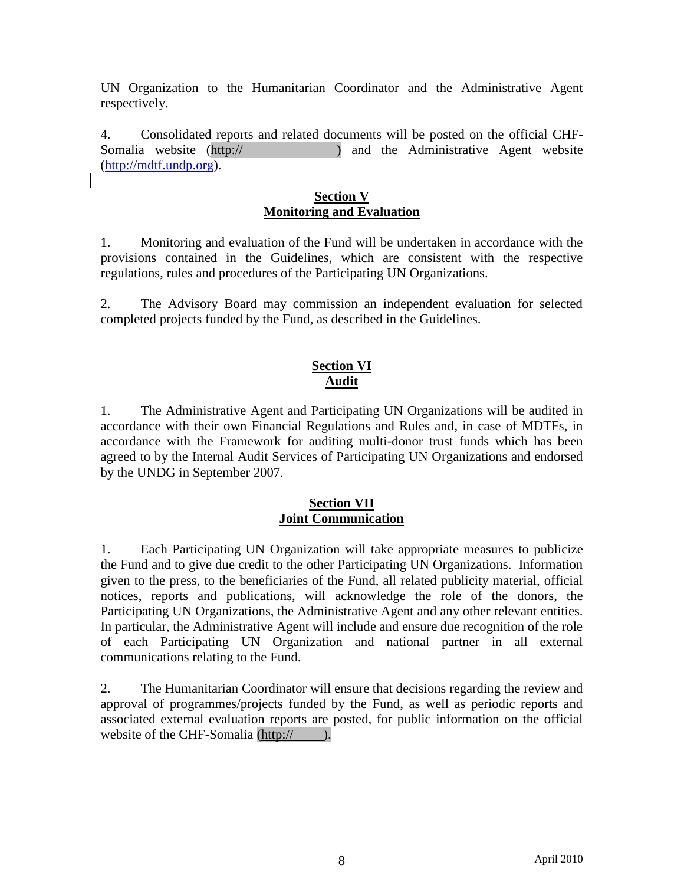UN Organization to the Humanitarian Coordinator and the Administrative Agent respectively.

4. Consolidated reports and related documents will be posted on the official CHF-Somalia website (http:// ) and the Administrative Agent website [\(http://mdtf.undp.org\)](http://mdtf.undp.org/).

## **Section V Monitoring and Evaluation**

1. Monitoring and evaluation of the Fund will be undertaken in accordance with the provisions contained in the Guidelines, which are consistent with the respective regulations, rules and procedures of the Participating UN Organizations.

2. The Advisory Board may commission an independent evaluation for selected completed projects funded by the Fund, as described in the Guidelines.

#### **Section VI Audit**

1. The Administrative Agent and Participating UN Organizations will be audited in accordance with their own Financial Regulations and Rules and, in case of MDTFs, in accordance with the Framework for auditing multi-donor trust funds which has been agreed to by the Internal Audit Services of Participating UN Organizations and endorsed by the UNDG in September 2007.

#### **Section VII Joint Communication**

1. Each Participating UN Organization will take appropriate measures to publicize the Fund and to give due credit to the other Participating UN Organizations. Information given to the press, to the beneficiaries of the Fund, all related publicity material, official notices, reports and publications, will acknowledge the role of the donors, the Participating UN Organizations, the Administrative Agent and any other relevant entities. In particular, the Administrative Agent will include and ensure due recognition of the role of each Participating UN Organization and national partner in all external communications relating to the Fund.

2. The Humanitarian Coordinator will ensure that decisions regarding the review and approval of programmes/projects funded by the Fund, as well as periodic reports and associated external evaluation reports are posted, for public information on the official website of the CHF-Somalia (http:// ).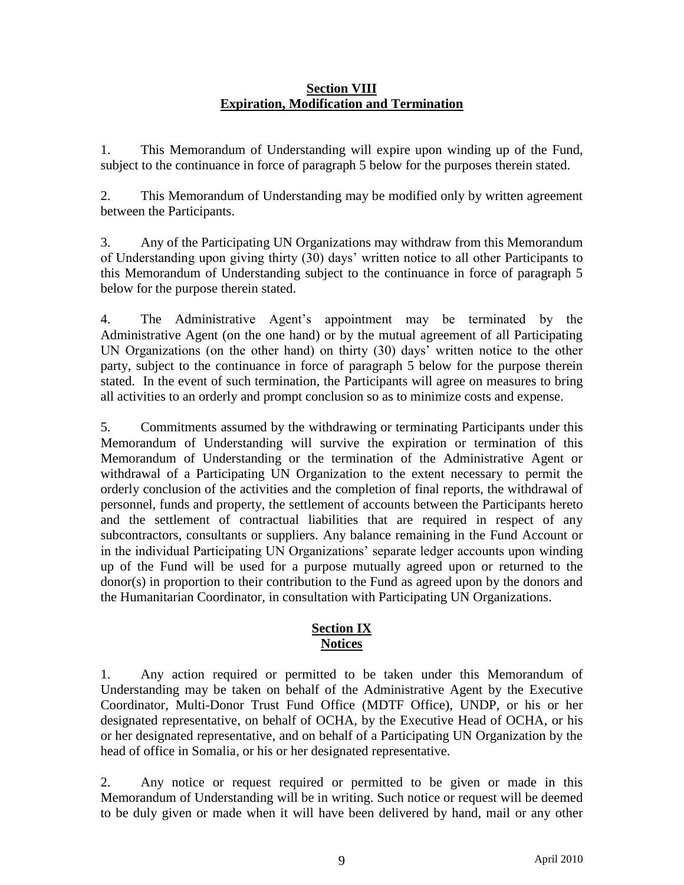#### **Section VIII Expiration, Modification and Termination**

1. This Memorandum of Understanding will expire upon winding up of the Fund, subject to the continuance in force of paragraph 5 below for the purposes therein stated.

2. This Memorandum of Understanding may be modified only by written agreement between the Participants.

3. Any of the Participating UN Organizations may withdraw from this Memorandum of Understanding upon giving thirty (30) days' written notice to all other Participants to this Memorandum of Understanding subject to the continuance in force of paragraph 5 below for the purpose therein stated.

4. The Administrative Agent's appointment may be terminated by the Administrative Agent (on the one hand) or by the mutual agreement of all Participating UN Organizations (on the other hand) on thirty (30) days' written notice to the other party, subject to the continuance in force of paragraph 5 below for the purpose therein stated. In the event of such termination, the Participants will agree on measures to bring all activities to an orderly and prompt conclusion so as to minimize costs and expense.

5. Commitments assumed by the withdrawing or terminating Participants under this Memorandum of Understanding will survive the expiration or termination of this Memorandum of Understanding or the termination of the Administrative Agent or withdrawal of a Participating UN Organization to the extent necessary to permit the orderly conclusion of the activities and the completion of final reports, the withdrawal of personnel, funds and property, the settlement of accounts between the Participants hereto and the settlement of contractual liabilities that are required in respect of any subcontractors, consultants or suppliers. Any balance remaining in the Fund Account or in the individual Participating UN Organizations' separate ledger accounts upon winding up of the Fund will be used for a purpose mutually agreed upon or returned to the donor(s) in proportion to their contribution to the Fund as agreed upon by the donors and the Humanitarian Coordinator, in consultation with Participating UN Organizations.

## **Section IX Notices**

1. Any action required or permitted to be taken under this Memorandum of Understanding may be taken on behalf of the Administrative Agent by the Executive Coordinator, Multi-Donor Trust Fund Office (MDTF Office), UNDP, or his or her designated representative, on behalf of OCHA, by the Executive Head of OCHA, or his or her designated representative, and on behalf of a Participating UN Organization by the head of office in Somalia, or his or her designated representative.

2. Any notice or request required or permitted to be given or made in this Memorandum of Understanding will be in writing. Such notice or request will be deemed to be duly given or made when it will have been delivered by hand, mail or any other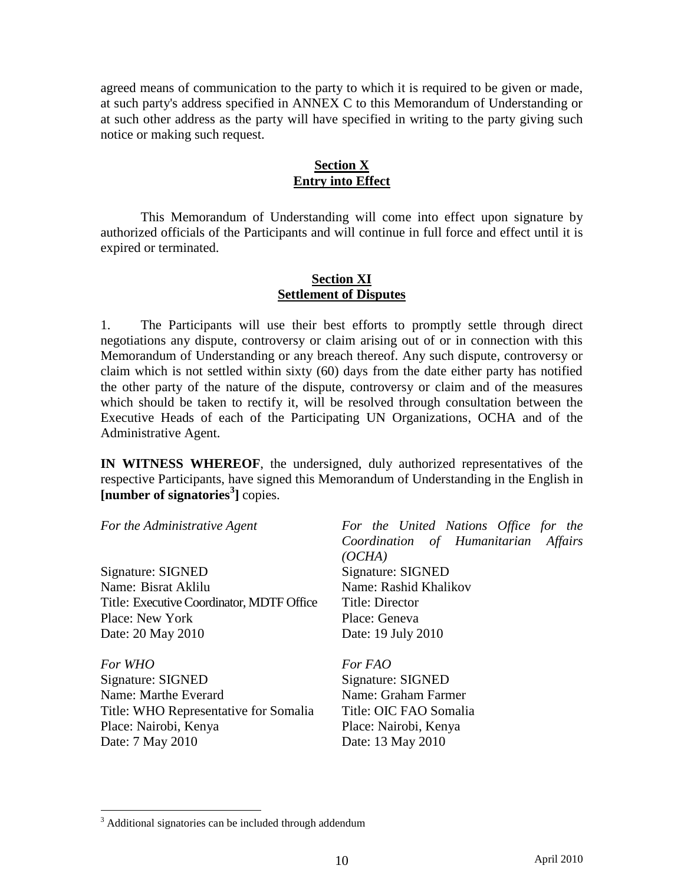agreed means of communication to the party to which it is required to be given or made, at such party's address specified in ANNEX C to this Memorandum of Understanding or at such other address as the party will have specified in writing to the party giving such notice or making such request.

# **Section X Entry into Effect**

This Memorandum of Understanding will come into effect upon signature by authorized officials of the Participants and will continue in full force and effect until it is expired or terminated.

## **Section XI Settlement of Disputes**

1. The Participants will use their best efforts to promptly settle through direct negotiations any dispute, controversy or claim arising out of or in connection with this Memorandum of Understanding or any breach thereof. Any such dispute, controversy or claim which is not settled within sixty (60) days from the date either party has notified the other party of the nature of the dispute, controversy or claim and of the measures which should be taken to rectify it, will be resolved through consultation between the Executive Heads of each of the Participating UN Organizations, OCHA and of the Administrative Agent.

**IN WITNESS WHEREOF**, the undersigned, duly authorized representatives of the respective Participants, have signed this Memorandum of Understanding in the English in **[number of signatories<sup>3</sup> ]** copies.

Signature: SIGNED Signature: SIGNED Name: Bisrat Aklilu Name: Rashid Khalikov Title: Executive Coordinator, MDTF Office Title: Director Place: New York Place: Geneva Date: 20 May 2010 Date: 19 July 2010

*For WHO For FAO*  Signature: SIGNED Signature: SIGNED Name: Marthe Everard Name: Graham Farmer Title: WHO Representative for Somalia Title: OIC FAO Somalia Place: Nairobi, Kenya Place: Nairobi, Kenya Date: 7 May 2010 Date: 13 May 2010

 $\overline{a}$ 

*For the Administrative Agent For the United Nations Office for the Coordination of Humanitarian Affairs (OCHA)*

<sup>&</sup>lt;sup>3</sup> Additional signatories can be included through addendum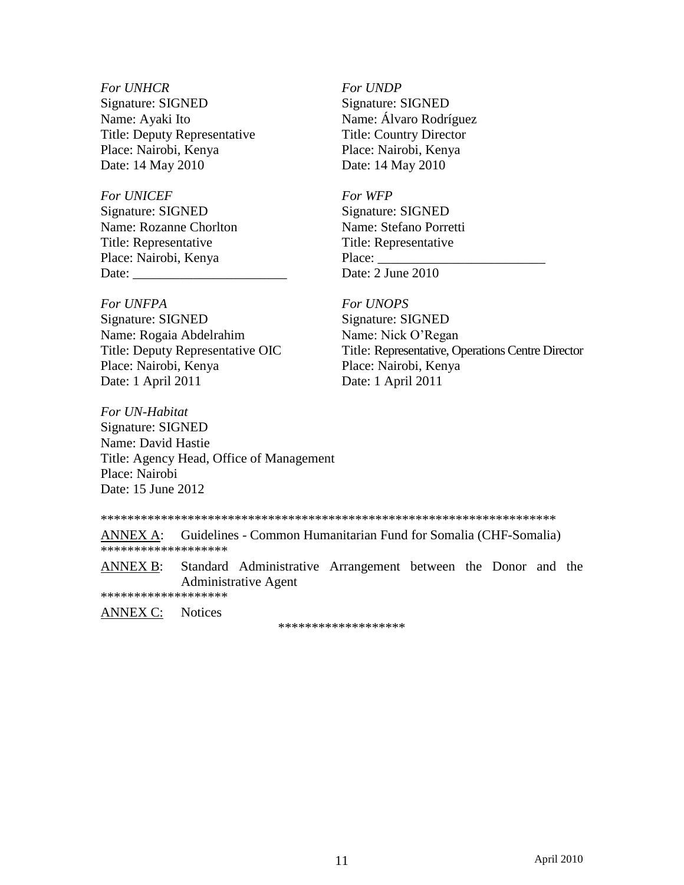#### *For UNHCR For UNDP*

Signature: SIGNED Signature: SIGNED Name: Ayaki Ito Name: Álvaro Rodríguez Title: Deputy Representative Title: Country Director Place: Nairobi, Kenya Place: Nairobi, Kenya Date: 14 May 2010 Date: 14 May 2010

## For UNICEF For WFP

Signature: SIGNED Signature: SIGNED Name: Rozanne Chorlton Name: Stefano Porretti Title: Representative Title: Representative Place: Nairobi, Kenya Place: \_ Date: Date: 2 June 2010

#### *For UNFPA For UNOPS*

Signature: SIGNED Signature: SIGNED Name: Rogaia Abdelrahim Name: Nick O'Regan Date: 1 April 2011 Date: 1 April 2011

*For UN-Habitat* Signature: SIGNED Name: David Hastie Title: Agency Head, Office of Management Place: Nairobi Date: 15 June 2012

Title: Deputy Representative OIC Title: Representative, Operations Centre Director<br>Place: Nairobi, Kenya Place: Nairobi, Kenya Place: Nairobi, Kenya

\*\*\*\*\*\*\*\*\*\*\*\*\*\*\*\*\*\*\*\*\*\*\*\*\*\*\*\*\*\*\*\*\*\*\*\*\*\*\*\*\*\*\*\*\*\*\*\*\*\*\*\*\*\*\*\*\*\*\*\*\*\*\*\*\*\*\*\*

ANNEX A: Guidelines - Common Humanitarian Fund for Somalia (CHF-Somalia) \*\*\*\*\*\*\*\*\*\*\*\*\*\*\*\*\*\*\*

ANNEX B: Standard Administrative Arrangement between the Donor and the Administrative Agent

\*\*\*\*\*\*\*\*\*\*\*\*\*\*\*\*\*\*\*

ANNEX C: Notices

\*\*\*\*\*\*\*\*\*\*\*\*\*\*\*\*\*\*\*